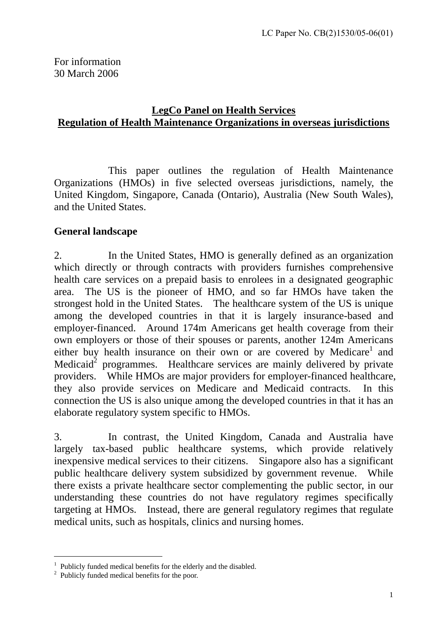## **LegCo Panel on Health Services Regulation of Health Maintenance Organizations in overseas jurisdictions**

This paper outlines the regulation of Health Maintenance Organizations (HMOs) in five selected overseas jurisdictions, namely, the United Kingdom, Singapore, Canada (Ontario), Australia (New South Wales), and the United States.

## **General landscape**

2. In the United States, HMO is generally defined as an organization which directly or through contracts with providers furnishes comprehensive health care services on a prepaid basis to enrolees in a designated geographic area. The US is the pioneer of HMO, and so far HMOs have taken the strongest hold in the United States. The healthcare system of the US is unique among the developed countries in that it is largely insurance-based and employer-financed. Around 174m Americans get health coverage from their own employers or those of their spouses or parents, another 124m Americans either buy health insurance on their own or are covered by Medicare<sup>1</sup> and Medicaid<sup>2</sup> programmes. Healthcare services are mainly delivered by private providers. While HMOs are major providers for employer-financed healthcare, they also provide services on Medicare and Medicaid contracts. In this connection the US is also unique among the developed countries in that it has an elaborate regulatory system specific to HMOs.

3. In contrast, the United Kingdom, Canada and Australia have largely tax-based public healthcare systems, which provide relatively inexpensive medical services to their citizens. Singapore also has a significant public healthcare delivery system subsidized by government revenue. While there exists a private healthcare sector complementing the public sector, in our understanding these countries do not have regulatory regimes specifically targeting at HMOs. Instead, there are general regulatory regimes that regulate medical units, such as hospitals, clinics and nursing homes.

 $\overline{a}$ 

<sup>&</sup>lt;sup>1</sup> Publicly funded medical benefits for the elderly and the disabled.

<sup>&</sup>lt;sup>2</sup> Publicly funded medical benefits for the poor.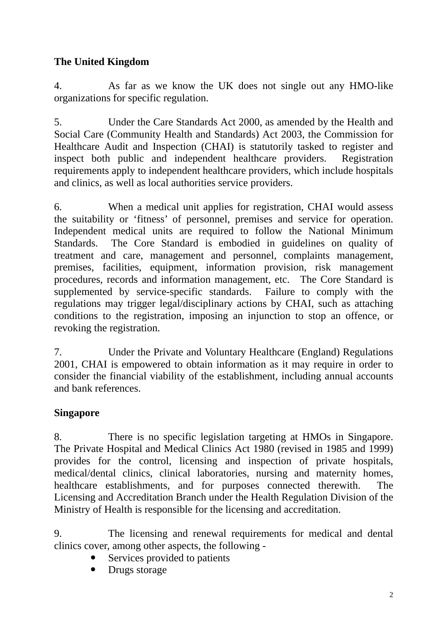# **The United Kingdom**

4. As far as we know the UK does not single out any HMO-like organizations for specific regulation.

5. Under the Care Standards Act 2000, as amended by the Health and Social Care (Community Health and Standards) Act 2003, the Commission for Healthcare Audit and Inspection (CHAI) is statutorily tasked to register and inspect both public and independent healthcare providers. Registration requirements apply to independent healthcare providers, which include hospitals and clinics, as well as local authorities service providers.

6. When a medical unit applies for registration, CHAI would assess the suitability or 'fitness' of personnel, premises and service for operation. Independent medical units are required to follow the National Minimum Standards. The Core Standard is embodied in guidelines on quality of treatment and care, management and personnel, complaints management, premises, facilities, equipment, information provision, risk management procedures, records and information management, etc. The Core Standard is supplemented by service-specific standards. Failure to comply with the regulations may trigger legal/disciplinary actions by CHAI, such as attaching conditions to the registration, imposing an injunction to stop an offence, or revoking the registration.

7. Under the Private and Voluntary Healthcare (England) Regulations 2001, CHAI is empowered to obtain information as it may require in order to consider the financial viability of the establishment, including annual accounts and bank references.

## **Singapore**

8. There is no specific legislation targeting at HMOs in Singapore. The Private Hospital and Medical Clinics Act 1980 (revised in 1985 and 1999) provides for the control, licensing and inspection of private hospitals, medical/dental clinics, clinical laboratories, nursing and maternity homes, healthcare establishments, and for purposes connected therewith. The Licensing and Accreditation Branch under the Health Regulation Division of the Ministry of Health is responsible for the licensing and accreditation.

9. The licensing and renewal requirements for medical and dental clinics cover, among other aspects, the following -

- Services provided to patients
- $\bullet$  Drugs storage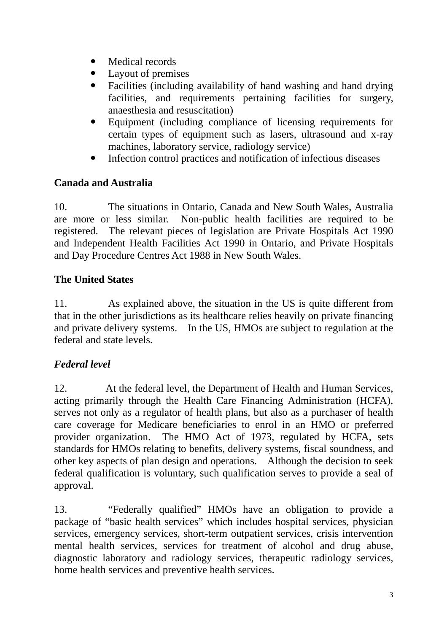- Medical records
- Layout of premises
- Facilities (including availability of hand washing and hand drying facilities, and requirements pertaining facilities for surgery, anaesthesia and resuscitation)
- Equipment (including compliance of licensing requirements for certain types of equipment such as lasers, ultrasound and x-ray machines, laboratory service, radiology service)
- Infection control practices and notification of infectious diseases

## **Canada and Australia**

10. The situations in Ontario, Canada and New South Wales, Australia are more or less similar. Non-public health facilities are required to be registered. The relevant pieces of legislation are Private Hospitals Act 1990 and Independent Health Facilities Act 1990 in Ontario, and Private Hospitals and Day Procedure Centres Act 1988 in New South Wales.

#### **The United States**

11. As explained above, the situation in the US is quite different from that in the other jurisdictions as its healthcare relies heavily on private financing and private delivery systems. In the US, HMOs are subject to regulation at the federal and state levels.

## *Federal level*

12. At the federal level, the Department of Health and Human Services, acting primarily through the Health Care Financing Administration (HCFA), serves not only as a regulator of health plans, but also as a purchaser of health care coverage for Medicare beneficiaries to enrol in an HMO or preferred provider organization. The HMO Act of 1973, regulated by HCFA, sets standards for HMOs relating to benefits, delivery systems, fiscal soundness, and other key aspects of plan design and operations. Although the decision to seek federal qualification is voluntary, such qualification serves to provide a seal of approval.

13. "Federally qualified" HMOs have an obligation to provide a package of "basic health services" which includes hospital services, physician services, emergency services, short-term outpatient services, crisis intervention mental health services, services for treatment of alcohol and drug abuse, diagnostic laboratory and radiology services, therapeutic radiology services, home health services and preventive health services.